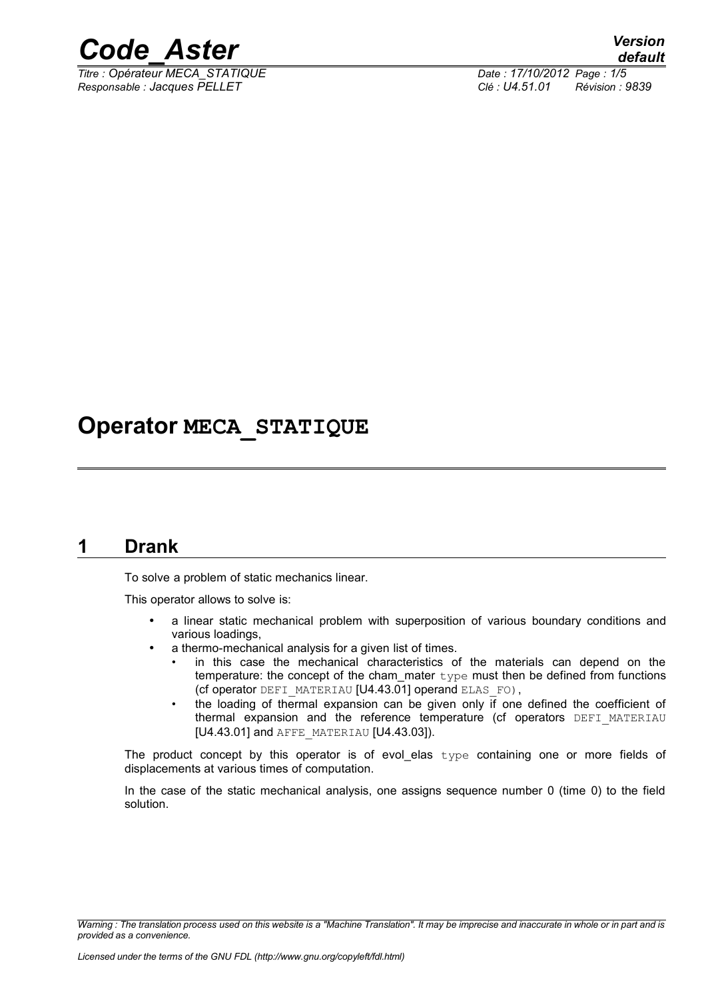

*Titre : Opérateur MECA\_STATIQUE Date : 17/10/2012 Page : 1/5 Responsable : Jacques PELLET Clé : U4.51.01 Révision : 9839*

## **Operator MECA\_STATIQUE**

### **1 Drank**

To solve a problem of static mechanics linear.

This operator allows to solve is:

- a linear static mechanical problem with superposition of various boundary conditions and various loadings,
- a thermo-mechanical analysis for a given list of times.
	- in this case the mechanical characteristics of the materials can depend on the temperature: the concept of the cham\_mater  $type$  must then be defined from functions (cf operator DEFI\_MATERIAU [U4.43.01] operand ELAS\_FO),
	- the loading of thermal expansion can be given only if one defined the coefficient of thermal expansion and the reference temperature (cf operators DEFI MATERIAU [U4.43.01] and AFFE\_MATERIAU [U4.43.03]).

The product concept by this operator is of evol\_elas type containing one or more fields of displacements at various times of computation.

In the case of the static mechanical analysis, one assigns sequence number 0 (time 0) to the field solution.

*Warning : The translation process used on this website is a "Machine Translation". It may be imprecise and inaccurate in whole or in part and is provided as a convenience.*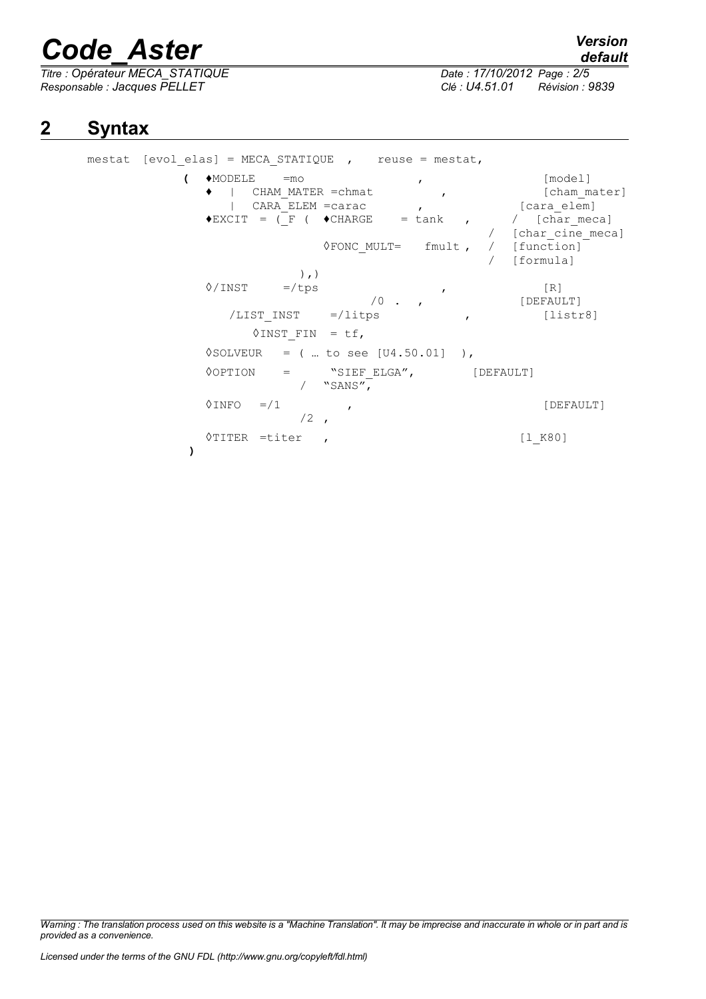*Titre : Opérateur MECA\_STATIQUE Date : 17/10/2012 Page : 2/5 Responsable : Jacques PELLET Clé : U4.51.01 Révision : 9839*

*default*

### **2 Syntax**

mestat [evol elas] = MECA STATIQUE , reuse = mestat, **(** ♦MODELE =mo , [model] ♦ | CHAM\_MATER =chmat , [cham\_mater] | CARA\_ELEM =carac ,  $\overline{\qquad}$  ,  $\overline{\qquad}$  [cara elem]  $\blacklozenge$ EXCIT = ( $\Gamma$  (  $\blacklozenge$ CHARGE = tank , / [char\_meca] [char cine meca] ◊FONC\_MULT= fmult , / [function] / [formula] ),)  $\sqrt{N}$  =/tps , [R] /0 . , [DEFAULT] /LIST\_INST =/litps , [listr8]  $\lozenge$ INST FIN = tf,  $\Diamond$ SOLVEUR = (... to see [U4.50.01] ), <sup>O</sup>OPTION = "SIEF\_ELGA", [DEFAULT]  $/$  "SANS",  $\Diamond$ INFO =/1 ,  $/2$ ◊TITER =titer , [l\_K80] **)**

*Warning : The translation process used on this website is a "Machine Translation". It may be imprecise and inaccurate in whole or in part and is provided as a convenience.*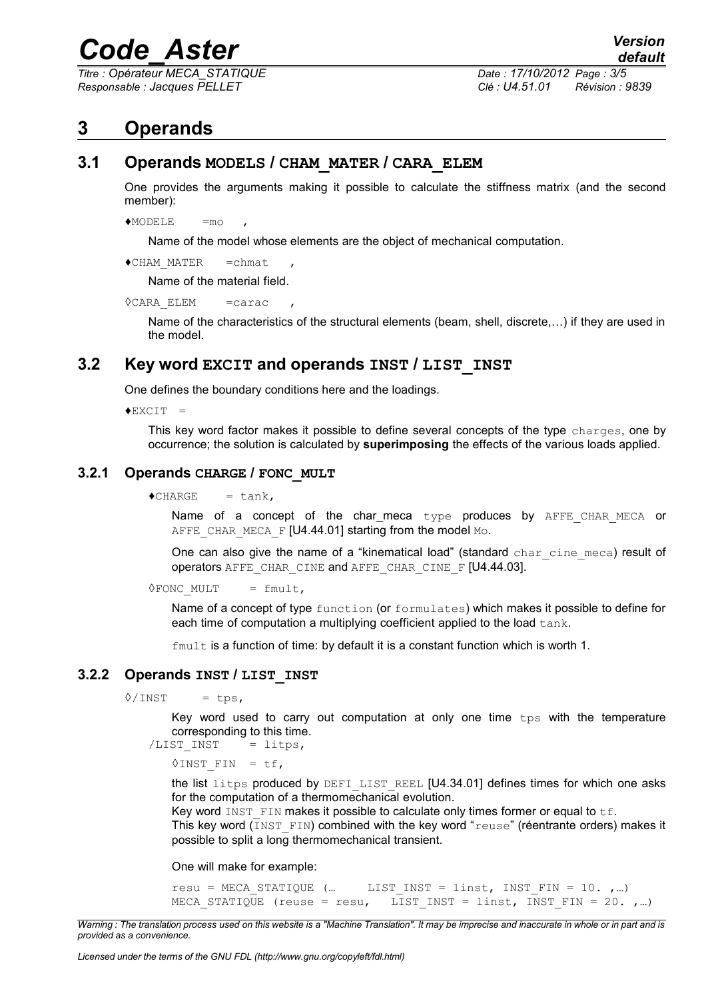*Titre : Opérateur MECA\_STATIQUE Date : 17/10/2012 Page : 3/5 Responsable : Jacques PELLET Clé : U4.51.01 Révision : 9839*

### **3 Operands**

#### **3.1 Operands MODELS / CHAM\_MATER / CARA\_ELEM**

One provides the arguments making it possible to calculate the stiffness matrix (and the second member):

 $MODELE = m_O$ 

Name of the model whose elements are the object of mechanical computation.

```
♦CHAM_MATER =chmat ,
```
Name of the material field.

```
\DiamondCARA ELEM =carac
```
Name of the characteristics of the structural elements (beam, shell, discrete,…) if they are used in the model.

### **3.2 Key word EXCIT and operands INST / LIST\_INST**

One defines the boundary conditions here and the loadings.

 $+$ EXCIT =

This key word factor makes it possible to define several concepts of the type charges, one by occurrence; the solution is calculated by **superimposing** the effects of the various loads applied.

#### **3.2.1 Operands CHARGE / FONC\_MULT**

 $\triangle$ CHARGE = tank,

Name of a concept of the char meca type produces by AFFE CHAR MECA or AFFE\_CHAR\_MECA\_F [U4.44.01] starting from the model Mo.

One can also give the name of a "kinematical load" (standard char cine meca) result of operators AFFE\_CHAR\_CINE and AFFE\_CHAR\_CINE\_F [U4.44.03].

 $\Diamond$ FONC MULT = fmult,

Name of a concept of type function (or formulates) which makes it possible to define for each time of computation a multiplying coefficient applied to the load tank.

 $f$ mult is a function of time: by default it is a constant function which is worth 1.

#### **3.2.2 Operands INST / LIST\_INST**

 $\sqrt{INST}$  = tps,

Key word used to carry out computation at only one time tps with the temperature corresponding to this time.

 $/LIST$  INST = litps,

 $\lozenge$ INST FIN = tf,

the list litps produced by DEFI LIST REEL [U4.34.01] defines times for which one asks for the computation of a thermomechanical evolution.

Key word INST FIN makes it possible to calculate only times former or equal to  $\pm f$ .

This key word (INST  $FIN$ ) combined with the key word "reuse" (réentrante orders) makes it possible to split a long thermomechanical transient.

One will make for example:

```
resu = MECA STATIQUE (... LIST INST = linst, INST FIN = 10. , ...)
MECA STATIQUE (reuse = resu, LIST INST = linst, INST FIN = 20. , ...)
```
*Warning : The translation process used on this website is a "Machine Translation". It may be imprecise and inaccurate in whole or in part and is provided as a convenience.*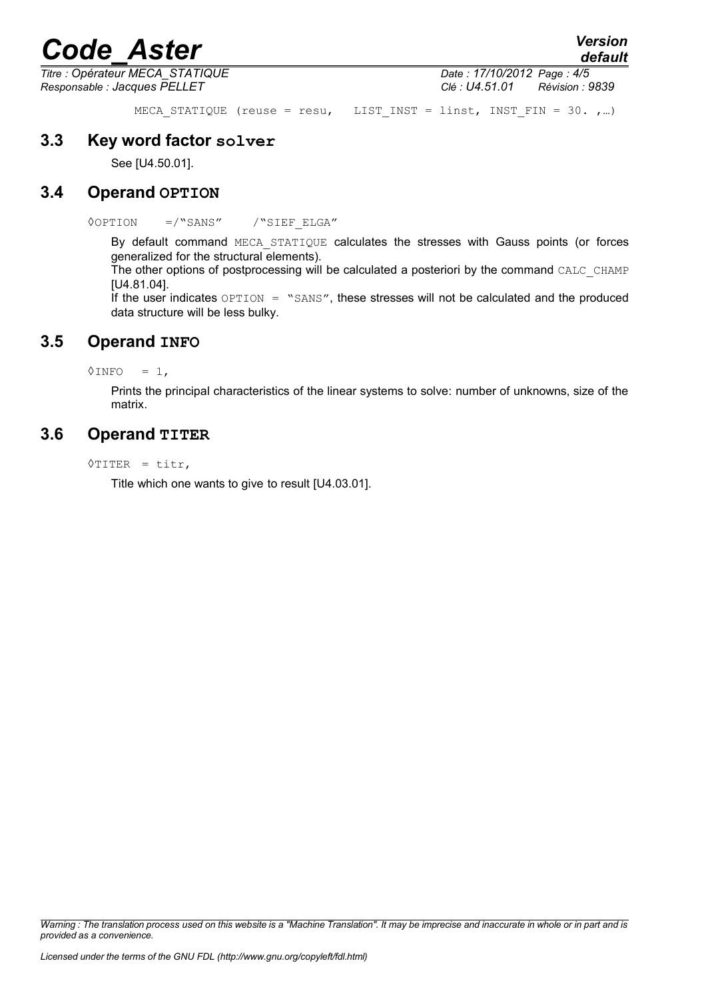*Titre : Opérateur MECA\_STATIQUE Date : 17/10/2012 Page : 4/5 Responsable : Jacques PELLET Clé : U4.51.01 Révision : 9839*

MECA STATIQUE (reuse = resu, LIST INST = linst, INST FIN = 30. ,...)

### **3.3 Key word factor solver**

See [U4.50.01].

### **3.4 Operand OPTION**

◊OPTION =/"SANS" /"SIEF\_ELGA"

By default command MECA STATIQUE calculates the stresses with Gauss points (or forces generalized for the structural elements).

The other options of postprocessing will be calculated a posteriori by the command CALC\_CHAMP [U4.81.04].

If the user indicates  $OPTION =$  "SANS", these stresses will not be calculated and the produced data structure will be less bulky.

### **3.5 Operand INFO**

 $\Diamond$ INFO = 1,

Prints the principal characteristics of the linear systems to solve: number of unknowns, size of the matrix.

### **3.6 Operand TITER**

◊TITER = titr,

Title which one wants to give to result [U4.03.01].

*Warning : The translation process used on this website is a "Machine Translation". It may be imprecise and inaccurate in whole or in part and is provided as a convenience.*